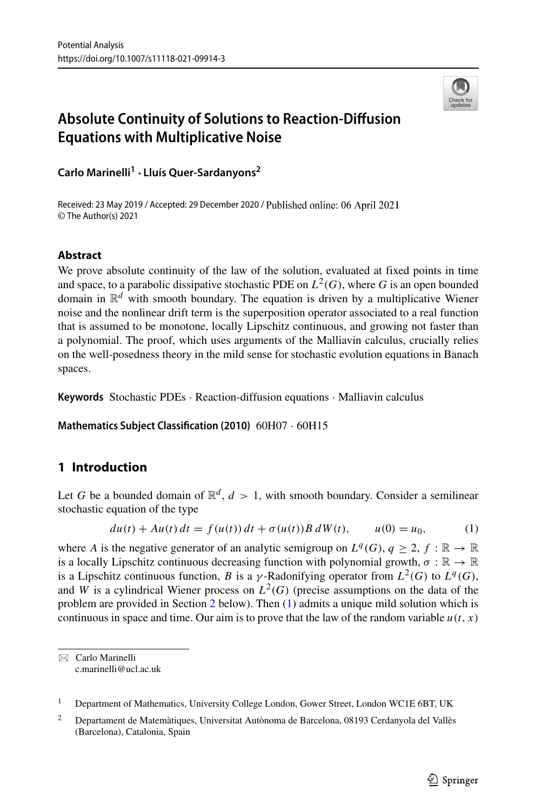

# **Absolute Continuity of Solutions to Reaction-Diffusion Equations with Multiplicative Noise**

**Carlo Marinelli<sup>1</sup> · Llu´ıs Quer-Sardanyons2**

Received: 23 May 2019 / Accepted: 29 December 2020 / Published online: 06 April 2021 © The Author(s) 2021

### **Abstract**

We prove absolute continuity of the law of the solution, evaluated at fixed points in time and space, to a parabolic dissipative stochastic PDE on  $L^2(G)$ , where G is an open bounded domain in  $\mathbb{R}^d$  with smooth boundary. The equation is driven by a multiplicative Wiener noise and the nonlinear drift term is the superposition operator associated to a real function that is assumed to be monotone, locally Lipschitz continuous, and growing not faster than a polynomial. The proof, which uses arguments of the Malliavin calculus, crucially relies on the well-posedness theory in the mild sense for stochastic evolution equations in Banach spaces.

**Keywords** Stochastic PDEs · Reaction-diffusion equations · Malliavin calculus

**Mathematics Subject Classification (2010)** 60H07 · 60H15

## **1 Introduction**

Let G be a bounded domain of  $\mathbb{R}^d$ ,  $d > 1$ , with smooth boundary. Consider a semilinear stochastic equation of the type

<span id="page-0-0"></span>
$$
du(t) + Au(t) dt = f(u(t)) dt + \sigma(u(t)) B dW(t), \qquad u(0) = u_0,
$$
 (1)

where *A* is the negative generator of an analytic semigroup on  $L^q(G)$ ,  $q \geq 2$ ,  $f : \mathbb{R} \to \mathbb{R}$ is a locally Lipschitz continuous decreasing function with polynomial growth,  $\sigma : \mathbb{R} \to \mathbb{R}$ is a Lipschitz continuous function, *B* is a *γ*-Radonifying operator from  $L^2(G)$  to  $L^q(G)$ , and *W* is a cylindrical Wiener process on  $L^2(G)$  (precise assumptions on the data of the problem are provided in Section [2](#page-2-0) below). Then [\(1\)](#page-0-0) admits a unique mild solution which is continuous in space and time. Our aim is to prove that the law of the random variable  $u(t, x)$ 

Carlo Marinelli [c.marinelli@ucl.ac.uk](mailto: c.marinelli@ucl.ac.uk)

<sup>&</sup>lt;sup>1</sup> Department of Mathematics, University College London, Gower Street, London WC1E 6BT, UK

<sup>&</sup>lt;sup>2</sup> Departament de Matemàtiques, Universitat Autònoma de Barcelona, 08193 Cerdanyola del Vallès (Barcelona), Catalonia, Spain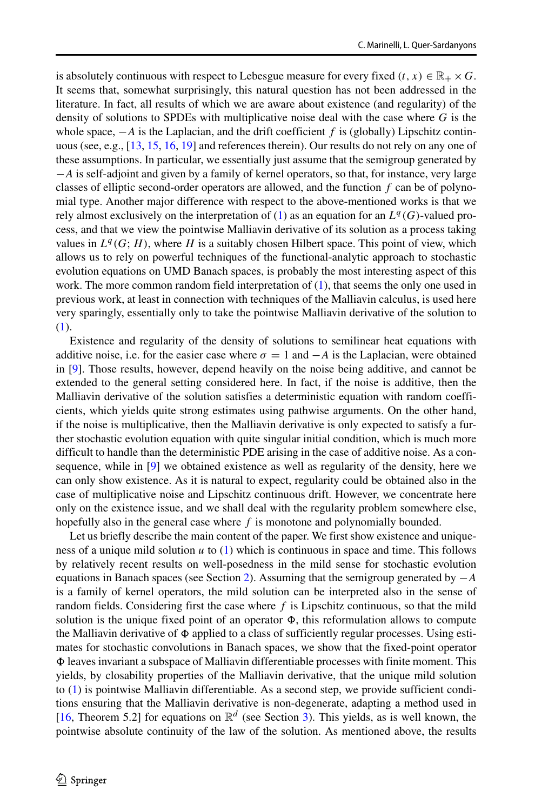is absolutely continuous with respect to Lebesgue measure for every fixed  $(t, x) \in \mathbb{R}_+ \times G$ . It seems that, somewhat surprisingly, this natural question has not been addressed in the literature. In fact, all results of which we are aware about existence (and regularity) of the density of solutions to SPDEs with multiplicative noise deal with the case where *G* is the whole space, −*A* is the Laplacian, and the drift coefficient *f* is (globally) Lipschitz continuous (see, e.g., [\[13,](#page-17-0) [15,](#page-17-1) [16,](#page-18-0) [19\]](#page-18-1) and references therein). Our results do not rely on any one of these assumptions. In particular, we essentially just assume that the semigroup generated by −*A* is self-adjoint and given by a family of kernel operators, so that, for instance, very large classes of elliptic second-order operators are allowed, and the function *f* can be of polynomial type. Another major difference with respect to the above-mentioned works is that we rely almost exclusively on the interpretation of [\(1\)](#page-0-0) as an equation for an  $L^q(G)$ -valued process, and that we view the pointwise Malliavin derivative of its solution as a process taking values in  $L^q(G; H)$ , where *H* is a suitably chosen Hilbert space. This point of view, which allows us to rely on powerful techniques of the functional-analytic approach to stochastic evolution equations on UMD Banach spaces, is probably the most interesting aspect of this work. The more common random field interpretation of [\(1\)](#page-0-0), that seems the only one used in previous work, at least in connection with techniques of the Malliavin calculus, is used here very sparingly, essentially only to take the pointwise Malliavin derivative of the solution to [\(1\)](#page-0-0).

Existence and regularity of the density of solutions to semilinear heat equations with additive noise, i.e. for the easier case where  $\sigma = 1$  and  $-A$  is the Laplacian, were obtained in [\[9\]](#page-17-2). Those results, however, depend heavily on the noise being additive, and cannot be extended to the general setting considered here. In fact, if the noise is additive, then the Malliavin derivative of the solution satisfies a deterministic equation with random coefficients, which yields quite strong estimates using pathwise arguments. On the other hand, if the noise is multiplicative, then the Malliavin derivative is only expected to satisfy a further stochastic evolution equation with quite singular initial condition, which is much more difficult to handle than the deterministic PDE arising in the case of additive noise. As a consequence, while in [\[9\]](#page-17-2) we obtained existence as well as regularity of the density, here we can only show existence. As it is natural to expect, regularity could be obtained also in the case of multiplicative noise and Lipschitz continuous drift. However, we concentrate here only on the existence issue, and we shall deal with the regularity problem somewhere else, hopefully also in the general case where *f* is monotone and polynomially bounded.

Let us briefly describe the main content of the paper. We first show existence and uniqueness of a unique mild solution *u* to [\(1\)](#page-0-0) which is continuous in space and time. This follows by relatively recent results on well-posedness in the mild sense for stochastic evolution equations in Banach spaces (see Section [2\)](#page-2-0). Assuming that the semigroup generated by −*A* is a family of kernel operators, the mild solution can be interpreted also in the sense of random fields. Considering first the case where *f* is Lipschitz continuous, so that the mild solution is the unique fixed point of an operator  $\Phi$ , this reformulation allows to compute the Malliavin derivative of  $\Phi$  applied to a class of sufficiently regular processes. Using estimates for stochastic convolutions in Banach spaces, we show that the fixed-point operator  $\Phi$  leaves invariant a subspace of Malliavin differentiable processes with finite moment. This yields, by closability properties of the Malliavin derivative, that the unique mild solution to [\(1\)](#page-0-0) is pointwise Malliavin differentiable. As a second step, we provide sufficient conditions ensuring that the Malliavin derivative is non-degenerate, adapting a method used in [\[16,](#page-18-0) Theorem 5.2] for equations on  $\mathbb{R}^d$  (see Section [3\)](#page-6-0). This yields, as is well known, the pointwise absolute continuity of the law of the solution. As mentioned above, the results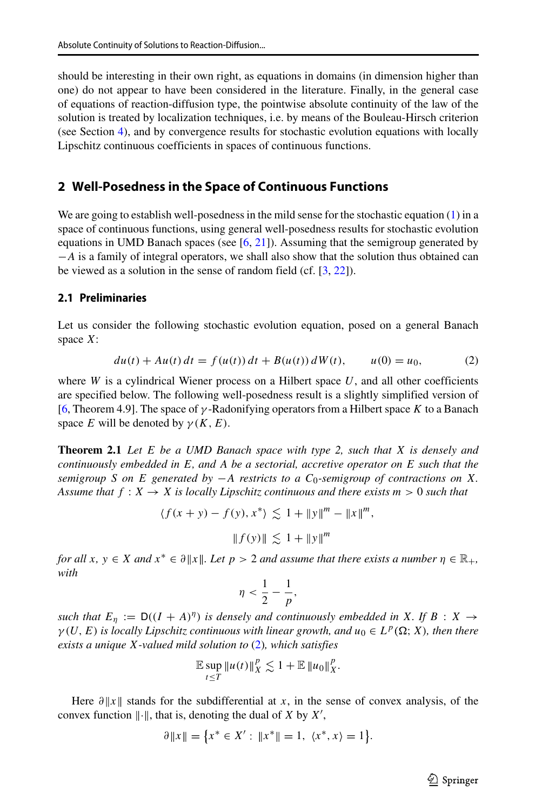should be interesting in their own right, as equations in domains (in dimension higher than one) do not appear to have been considered in the literature. Finally, in the general case of equations of reaction-diffusion type, the pointwise absolute continuity of the law of the solution is treated by localization techniques, i.e. by means of the Bouleau-Hirsch criterion (see Section [4\)](#page-15-0), and by convergence results for stochastic evolution equations with locally Lipschitz continuous coefficients in spaces of continuous functions.

### <span id="page-2-0"></span>**2 Well-Posedness in the Space of Continuous Functions**

We are going to establish well-posedness in the mild sense for the stochastic equation [\(1\)](#page-0-0) in a space of continuous functions, using general well-posedness results for stochastic evolution equations in UMD Banach spaces (see [\[6,](#page-17-3) [21\]](#page-18-2)). Assuming that the semigroup generated by −*A* is a family of integral operators, we shall also show that the solution thus obtained can be viewed as a solution in the sense of random field (cf. [\[3,](#page-17-4) [22\]](#page-18-3)).

### **2.1 Preliminaries**

Let us consider the following stochastic evolution equation, posed on a general Banach space *X*:

<span id="page-2-1"></span>
$$
du(t) + Au(t) dt = f(u(t)) dt + B(u(t)) dW(t), \t u(0) = u_0,
$$
\t(2)

where  $W$  is a cylindrical Wiener process on a Hilbert space  $U$ , and all other coefficients are specified below. The following well-posedness result is a slightly simplified version of [\[6,](#page-17-3) Theorem 4.9]. The space of *γ* -Radonifying operators from a Hilbert space *K* to a Banach space *E* will be denoted by  $\gamma(K, E)$ .

**Theorem 2.1** *Let E be a UMD Banach space with type 2, such that X is densely and continuously embedded in E, and A be a sectorial, accretive operator on E such that the semigroup S on E generated by* −*A restricts to a C*0*-semigroup of contractions on X. Assume that*  $f: X \to X$  *is locally Lipschitz continuous and there exists*  $m > 0$  *such that* 

$$
\langle f(x + y) - f(y), x^* \rangle \lesssim 1 + ||y||^m - ||x||^m,
$$
  
 $||f(y)|| \lesssim 1 + ||y||^m$ 

*for all*  $x, y \in X$  *and*  $x^* \in \partial ||x||$ *. Let*  $p > 2$  *and assume that there exists a number*  $\eta \in \mathbb{R}_+$ *, with*

$$
\eta < \frac{1}{2} - \frac{1}{p},
$$

*such that*  $E_\eta := D((I + A)^\eta)$  *is densely and continuously embedded in X. If*  $B : X \rightarrow$  $\gamma(U, E)$  *is locally Lipschitz continuous with linear growth, and*  $u_0 \in L^p(\Omega; X)$ *, then there exists a unique X-valued mild solution to* [\(2\)](#page-2-1)*, which satisfies*

$$
\mathbb{E}\sup_{t\leq T}\|u(t)\|_X^p\lesssim 1+\mathbb{E}\|u_0\|_X^p.
$$

Here  $\partial ||x||$  stands for the subdifferential at *x*, in the sense of convex analysis, of the convex function  $\|\cdot\|$ , that is, denoting the dual of *X* by *X'*,

$$
\partial \|x\| = \{x^* \in X' : \|x^*\| = 1, \ \langle x^*, x \rangle = 1\}.
$$

 $\textcircled{2}$  Springer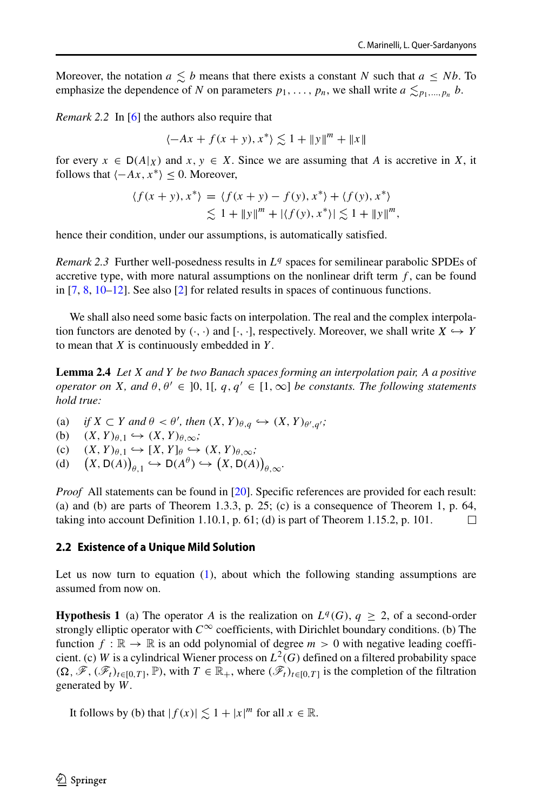Moreover, the notation  $a \leq b$  means that there exists a constant *N* such that  $a \leq Nb$ . To emphasize the dependence of *N* on parameters  $p_1, \ldots, p_n$ , we shall write  $a \leq_{p_1, \ldots, p_n} b$ .

*Remark 2.2* In [\[6\]](#page-17-3) the authors also require that

$$
\langle -Ax + f(x + y), x^* \rangle \lesssim 1 + ||y||^m + ||x||
$$

for every  $x \in D(A|x)$  and  $x, y \in X$ . Since we are assuming that A is accretive in X, it follows that  $\langle -Ax, x^* \rangle \leq 0$ . Moreover,

$$
\langle f(x+y), x^* \rangle = \langle f(x+y) - f(y), x^* \rangle + \langle f(y), x^* \rangle
$$
  
 
$$
\lesssim 1 + ||y||^m + |\langle f(y), x^* \rangle| \lesssim 1 + ||y||^m,
$$

hence their condition, under our assumptions, is automatically satisfied.

*Remark 2.3* Further well-posedness results in  $L<sup>q</sup>$  spaces for semilinear parabolic SPDEs of accretive type, with more natural assumptions on the nonlinear drift term  $f$ , can be found in [\[7,](#page-17-5) [8,](#page-17-6) [10](#page-17-7)[–12\]](#page-17-8). See also [\[2\]](#page-17-9) for related results in spaces of continuous functions.

We shall also need some basic facts on interpolation. The real and the complex interpolation functors are denoted by  $(\cdot, \cdot)$  and  $[\cdot, \cdot]$ , respectively. Moreover, we shall write  $X \hookrightarrow Y$ to mean that *X* is continuously embedded in *Y* .

**Lemma 2.4** *Let X and Y be two Banach spaces forming an interpolation pair, A a positive operator on X, and*  $\theta$ *,* $\theta' \in [0, 1]$ *,*  $q$ *,* $q' \in [1, \infty]$  *be constants. The following statements hold true:*

(a) *if*  $X \subset Y$  *and*  $\theta < \theta'$ , then  $(X, Y)_{\theta,q} \hookrightarrow (X, Y)_{\theta',q'}$ ;<br>
(b)  $(X, Y)_{\theta,1} \hookrightarrow (X, Y)_{\theta,\infty}$ ;

- (b)  $(X, Y)_{\theta,1} \hookrightarrow (X, Y)_{\theta,\infty}$ ;<br>(c)  $(X, Y)_{\theta,1} \hookrightarrow [X, Y]_{\theta} \hookrightarrow$
- (c)  $(X, Y)_{\theta,1} \hookrightarrow [X, Y]_{\theta} \hookrightarrow (X, Y)_{\theta, \infty}$ ;<br>
(d)  $(X, D(A))_{\theta,1} \hookrightarrow D(A^{\theta}) \hookrightarrow (X, D(A))$
- $(X, D(A))_{\theta,1} \hookrightarrow D(A^{\theta}) \hookrightarrow (X, D(A))_{\theta, \infty}$ .

*Proof* All statements can be found in [\[20\]](#page-18-4). Specific references are provided for each result: (a) and (b) are parts of Theorem 1.3.3, p. 25; (c) is a consequence of Theorem 1, p. 64, taking into account Definition 1.10.1, p. 61; (d) is part of Theorem 1.15.2, p. 101.  $\Box$ 

### **2.2 Existence of a Unique Mild Solution**

Let us now turn to equation [\(1\)](#page-0-0), about which the following standing assumptions are assumed from now on.

**Hypothesis 1** (a) The operator *A* is the realization on  $L^q(G)$ ,  $q > 2$ , of a second-order strongly elliptic operator with  $C^{\infty}$  coefficients, with Dirichlet boundary conditions. (b) The function  $f : \mathbb{R} \to \mathbb{R}$  is an odd polynomial of degree  $m > 0$  with negative leading coefficient. (c) *W* is a cylindrical Wiener process on  $L^2(G)$  defined on a filtered probability space  $(\Omega, \mathscr{F}, (\mathscr{F}_t)_{t\in[0,T]}, \mathbb{P})$ , with  $T \in \mathbb{R}_+$ , where  $(\mathscr{F}_t)_{t\in[0,T]}$  is the completion of the filtration generated by *W*.

It follows by (b) that  $|f(x)| \lesssim 1 + |x|^m$  for all  $x \in \mathbb{R}$ .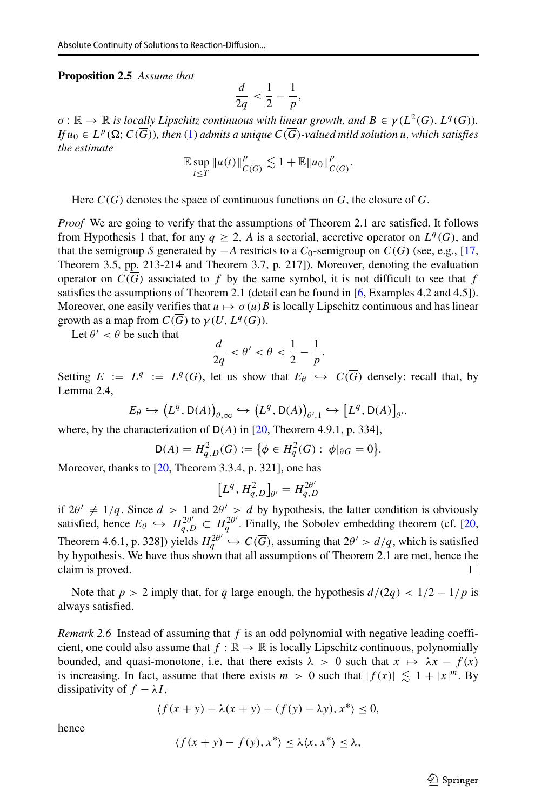**Proposition 2.5** *Assume that*

$$
\frac{d}{2q} < \frac{1}{2} - \frac{1}{p},
$$

 $\sigma : \mathbb{R} \to \mathbb{R}$  *is locally Lipschitz continuous with linear growth, and*  $B \in \gamma(L^2(G), L^q(G))$ *. If*  $u_0 \in L^p(\Omega; C(\overline{G}))$ , then [\(1\)](#page-0-0) admits a unique  $C(\overline{G})$ *-valued mild solution u, which satisfies the estimate*

$$
\mathbb{E}\sup_{t\leq T}\|u(t)\|_{C(\overline{G})}^p\lesssim 1+\mathbb{E}\|u_0\|_{C(\overline{G})}^p.
$$

Here  $C(\overline{G})$  denotes the space of continuous functions on  $\overline{G}$ , the closure of *G*.

*Proof* We are going to verify that the assumptions of Theorem 2.1 are satisfied. It follows from Hypothesis 1 that, for any  $q \geq 2$ , *A* is a sectorial, accretive operator on  $L^q(G)$ , and that the semigroup *S* generated by −*A* restricts to a  $C_0$ -semigroup on  $C(\overline{G})$  (see, e.g., [\[17,](#page-18-5) Theorem 3.5, pp. 213-214 and Theorem 3.7, p. 217]). Moreover, denoting the evaluation operator on  $C(\overline{G})$  associated to f by the same symbol, it is not difficult to see that f satisfies the assumptions of Theorem 2.1 (detail can be found in [\[6,](#page-17-3) Examples 4.2 and 4.5]). Moreover, one easily verifies that  $u \mapsto \sigma(u)B$  is locally Lipschitz continuous and has linear growth as a map from  $C(\overline{G})$  to  $\gamma(U, L^q(G))$ .

Let  $\theta' < \theta$  be such that

$$
\frac{d}{2q} < \theta' < \theta < \frac{1}{2} - \frac{1}{p}.
$$

Setting  $E := L^q := L^q(G)$ , let us show that  $E_\theta \hookrightarrow C(\overline{G})$  densely: recall that, by Lemma 2.4,

$$
E_{\theta} \hookrightarrow (L^{q}, \mathsf{D}(A))_{\theta, \infty} \hookrightarrow (L^{q}, \mathsf{D}(A))_{\theta', 1} \hookrightarrow [L^{q}, \mathsf{D}(A)]_{\theta'},
$$

where, by the characterization of D*(A)* in [\[20,](#page-18-4) Theorem 4.9.1, p. 334],

$$
\mathsf{D}(A) = H_{q,D}^2(G) := \big\{ \phi \in H_q^2(G) : \phi|_{\partial G} = 0 \big\}.
$$

Moreover, thanks to [\[20,](#page-18-4) Theorem 3.3.4, p. 321], one has

$$
[L^{q}, H_{q,D}^{2}]_{\theta'} = H_{q,D}^{2\theta'}
$$

if  $2\theta' \neq 1/q$ . Since  $d > 1$  and  $2\theta' > d$  by hypothesis, the latter condition is obviously satisfied, hence  $E_{\theta} \hookrightarrow H_{q,D}^{2\theta'} \subset H_q^{2\theta'}$ . Finally, the Sobolev embedding theorem (cf. [\[20,](#page-18-4) Theorem 4.6.1, p. 328]) yields  $H_q^{2\theta'} \hookrightarrow C(\overline{G})$ , assuming that  $2\theta' > d/q$ , which is satisfied by hypothesis. We have thus shown that all assumptions of Theorem 2.1 are met, hence the claim is proved. □

Note that  $p > 2$  imply that, for *q* large enough, the hypothesis  $d/(2q) < 1/2 - 1/p$  is always satisfied.

*Remark 2.6* Instead of assuming that *f* is an odd polynomial with negative leading coefficient, one could also assume that  $f : \mathbb{R} \to \mathbb{R}$  is locally Lipschitz continuous, polynomially bounded, and quasi-monotone, i.e. that there exists  $\lambda > 0$  such that  $x \mapsto \lambda x - f(x)$ is increasing. In fact, assume that there exists  $m > 0$  such that  $|f(x)| \lesssim 1 + |x|^m$ . By dissipativity of  $f - \lambda I$ ,

$$
\langle f(x+y)-\lambda(x+y)-(f(y)-\lambda y), x^*\rangle\leq 0,
$$

hence

$$
\langle f(x+y)-f(y), x^*\rangle \leq \lambda \langle x, x^*\rangle \leq \lambda,
$$

 $\textcircled{2}$  Springer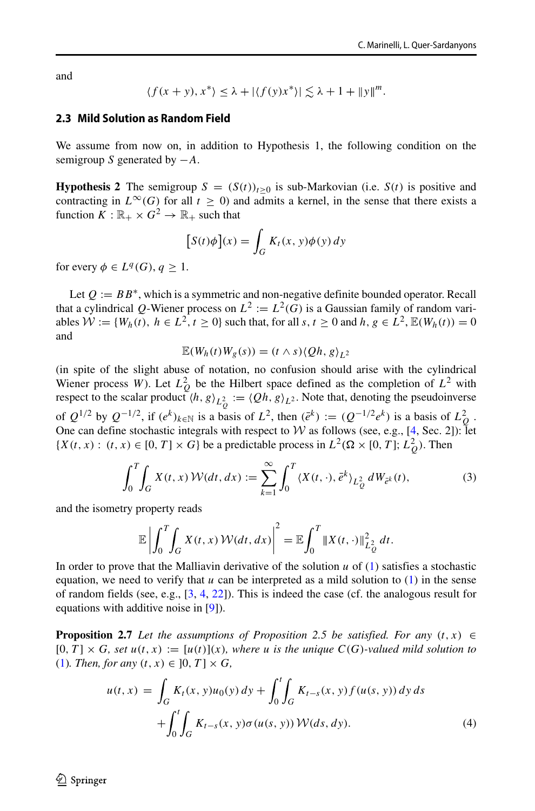and

$$
\langle f(x+y), x^* \rangle \leq \lambda + |\langle f(y)x^* \rangle| \lesssim \lambda + 1 + ||y||^m.
$$

#### **2.3 Mild Solution as Random Field**

We assume from now on, in addition to Hypothesis 1, the following condition on the semigroup *S* generated by −*A*.

**Hypothesis 2** The semigroup  $S = (S(t))_{t>0}$  is sub-Markovian (i.e.  $S(t)$  is positive and contracting in  $L^{\infty}(G)$  for all  $t \ge 0$ ) and admits a kernel, in the sense that there exists a function  $\overline{K}: \mathbb{R}_+ \times \overline{G}^2 \to \mathbb{R}_+$  such that

$$
[S(t)\phi](x) = \int_G K_t(x, y)\phi(y) dy
$$

for every  $\phi \in L^q(G)$ ,  $q > 1$ .

Let  $Q := BB^*$ , which is a symmetric and non-negative definite bounded operator. Recall that a cylindrical Q-Wiener process on  $L^2 := L^2(G)$  is a Gaussian family of random variables  $W := \{W_h(t), h \in L^2, t \ge 0\}$  such that, for all  $s, t \ge 0$  and  $h, g \in L^2$ ,  $\mathbb{E}(W_h(t)) = 0$ and

$$
\mathbb{E}(W_h(t)W_g(s))=(t\wedge s)\langle Qh, g\rangle_{L^2}
$$

(in spite of the slight abuse of notation, no confusion should arise with the cylindrical Wiener process *W*). Let  $L_Q^2$  be the Hilbert space defined as the completion of  $L^2$  with respect to the scalar product  $\langle h, g \rangle_{L^2_Q} := \langle Qh, g \rangle_{L^2}$ . Note that, denoting the pseudoinverse of  $Q^{1/2}$  by  $Q^{-1/2}$ , if  $(e^k)_{k \in \mathbb{N}}$  is a basis of  $L^2$ , then  $(e^k) := (Q^{-1/2}e^k)$  is a basis of  $L^2$ . One can define stochastic integrals with respect to W as follows (see, e.g., [\[4,](#page-17-10) Sec. 2]): let  $\{X(t, x) : (t, x) \in [0, T] \times G\}$  be a predictable process in  $L^2(\Omega \times [0, T]; L_Q^2)$ . Then

<span id="page-5-0"></span>
$$
\int_0^T \int_G X(t, x) \mathcal{W}(dt, dx) := \sum_{k=1}^\infty \int_0^T \langle X(t, \cdot), e^k \rangle_{L_Q^2} dW_{e^k}(t), \tag{3}
$$

and the isometry property reads

$$
\mathbb{E}\left|\int_0^T\!\!\int_G X(t,x)\,\mathcal{W}(dt,dx)\right|^2=\mathbb{E}\!\int_0^T\left\|X(t,\cdot)\right\|^2_{L_Q^2}\,dt.
$$

In order to prove that the Malliavin derivative of the solution *u* of [\(1\)](#page-0-0) satisfies a stochastic equation, we need to verify that  $u$  can be interpreted as a mild solution to  $(1)$  in the sense of random fields (see, e.g.,  $[3, 4, 22]$  $[3, 4, 22]$  $[3, 4, 22]$  $[3, 4, 22]$  $[3, 4, 22]$ ). This is indeed the case (cf. the analogous result for equations with additive noise in [\[9\]](#page-17-2)).

**Proposition 2.7** *Let the assumptions of Proposition 2.5 be satisfied. For any*  $(t, x) \in$  $[0, T] \times G$ *, set*  $u(t, x) := [u(t)](x)$ *, where u is the unique*  $C(G)$ *-valued mild solution to* [\(1\)](#page-0-0)*. Then, for any*  $(t, x) \in [0, T] \times G$ ,

<span id="page-5-1"></span>
$$
u(t,x) = \int_G K_t(x, y)u_0(y) dy + \int_0^t \int_G K_{t-s}(x, y) f(u(s, y)) dy ds
$$
  
+ 
$$
\int_0^t \int_G K_{t-s}(x, y) \sigma(u(s, y)) W(ds, dy).
$$
 (4)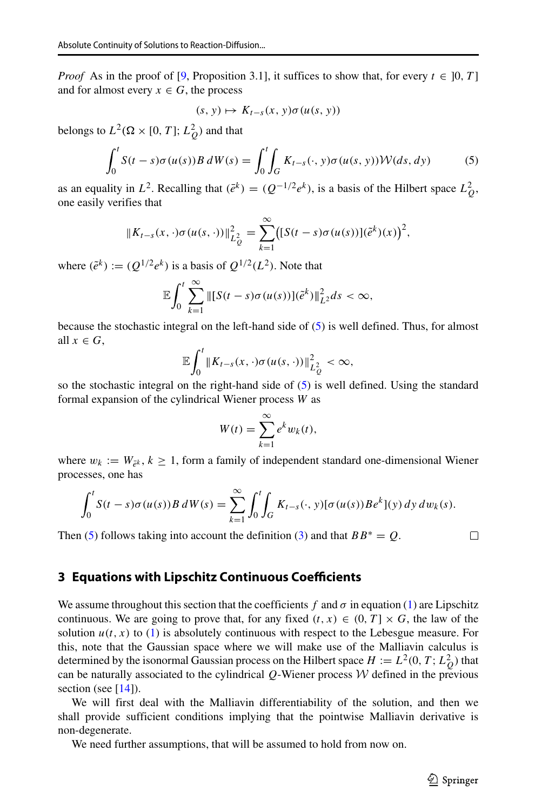*Proof* As in the proof of [\[9,](#page-17-2) Proposition 3.1], it suffices to show that, for every  $t \in [0, T]$ and for almost every  $x \in G$ , the process

$$
(s, y) \mapsto K_{t-s}(x, y)\sigma(u(s, y))
$$

belongs to  $L^2(\Omega \times [0, T]; L_Q^2)$  and that

<span id="page-6-1"></span>
$$
\int_0^t S(t-s)\sigma(u(s))B dW(s) = \int_0^t \int_G K_{t-s}(\cdot, y)\sigma(u(s, y))\mathcal{W}(ds, dy)
$$
 (5)

as an equality in  $L^2$ . Recalling that  $(\bar{e}^k) = (Q^{-1/2}e^k)$ , is a basis of the Hilbert space  $L_Q^2$ , one easily verifies that

$$
||K_{t-s}(x,\cdot)\sigma(u(s,\cdot))||_{L_Q^2}^2 = \sum_{k=1}^{\infty} ([S(t-s)\sigma(u(s))](\tilde{e}^k)(x))^2,
$$

where  $(\tilde{e}^k) := (Q^{1/2}e^k)$  is a basis of  $Q^{1/2}(L^2)$ . Note that

$$
\mathbb{E}\int_0^t\sum_{k=1}^\infty \left\|\left[S(t-s)\sigma(u(s))\right](\tilde{e}^k)\right\|_{L^2}^2ds<\infty,
$$

because the stochastic integral on the left-hand side of [\(5\)](#page-6-1) is well defined. Thus, for almost all  $x \in G$ .

$$
\mathbb{E}\int_0^t \|K_{t-s}(x,\cdot)\sigma(u(s,\cdot))\|_{L_Q^2}^2 < \infty,
$$

so the stochastic integral on the right-hand side of [\(5\)](#page-6-1) is well defined. Using the standard formal expansion of the cylindrical Wiener process *W* as

$$
W(t) = \sum_{k=1}^{\infty} e^k w_k(t),
$$

where  $w_k := W_{\bar{\rho}^k}$ ,  $k \geq 1$ , form a family of independent standard one-dimensional Wiener processes, one has

$$
\int_0^t S(t-s)\sigma(u(s))B dW(s) = \sum_{k=1}^\infty \int_0^t \int_G K_{t-s}(\cdot, y)[\sigma(u(s))Be^k](y) dy dw_k(s).
$$

Then [\(5\)](#page-6-1) follows taking into account the definition [\(3\)](#page-5-0) and that  $BB^* = Q$ .

 $\Box$ 

### <span id="page-6-0"></span>**3 Equations with Lipschitz Continuous Coefficients**

We assume throughout this section that the coefficients  $f$  and  $\sigma$  in equation [\(1\)](#page-0-0) are Lipschitz continuous. We are going to prove that, for any fixed  $(t, x) \in (0, T] \times G$ , the law of the solution  $u(t, x)$  to [\(1\)](#page-0-0) is absolutely continuous with respect to the Lebesgue measure. For this, note that the Gaussian space where we will make use of the Malliavin calculus is determined by the isonormal Gaussian process on the Hilbert space  $H := L^2(0, T; L^2_Q)$  that can be naturally associated to the cylindrical  $Q$ -Wiener process  $W$  defined in the previous section (see [\[14\]](#page-17-11)).

We will first deal with the Malliavin differentiability of the solution, and then we shall provide sufficient conditions implying that the pointwise Malliavin derivative is non-degenerate.

We need further assumptions, that will be assumed to hold from now on.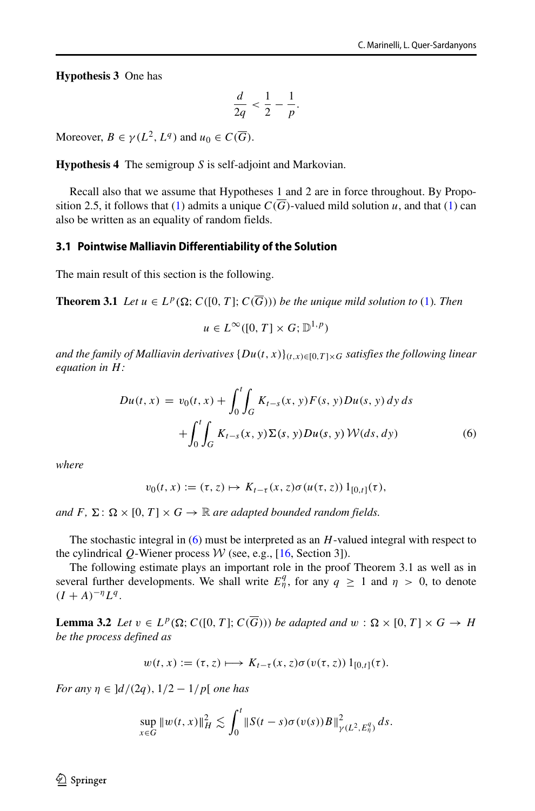**Hypothesis 3** One has

$$
\frac{d}{2q} < \frac{1}{2} - \frac{1}{p}.
$$

Moreover,  $B \in \gamma(L^2, L^q)$  and  $u_0 \in C(\overline{G})$ .

**Hypothesis 4** The semigroup *S* is self-adjoint and Markovian.

Recall also that we assume that Hypotheses 1 and 2 are in force throughout. By Propo-sition 2.5, it follows that [\(1\)](#page-0-0) admits a unique  $C(\overline{G})$ -valued mild solution *u*, and that (1) can also be written as an equality of random fields.

### **3.1 Pointwise Malliavin Differentiability of the Solution**

The main result of this section is the following.

**Theorem 3.1** *Let*  $u \in L^p(\Omega; C([0, T]; C(\overline{G})))$  *be the unique mild solution to* [\(1\)](#page-0-0)*. Then* 

 $u \in L^{\infty}([0, T] \times G; \mathbb{D}^{1, p})$ 

*and the family of Malliavin derivatives*  $\{Du(t, x)\}_{(t, x)\in [0, T]\times G}$  *satisfies the following linear equation in H:*

<span id="page-7-0"></span>
$$
Du(t, x) = v_0(t, x) + \int_0^t \int_G K_{t-s}(x, y) F(s, y) Du(s, y) dy ds + \int_0^t \int_G K_{t-s}(x, y) \Sigma(s, y) Du(s, y) W(ds, dy)
$$
(6)

*where*

$$
v_0(t,x) := (\tau, z) \mapsto K_{t-\tau}(x,z) \sigma(u(\tau,z)) 1_{[0,t]}(\tau),
$$

*and*  $F$ ,  $\Sigma$ :  $\Omega \times [0, T] \times G \rightarrow \mathbb{R}$  *are adapted bounded random fields.* 

The stochastic integral in [\(6\)](#page-7-0) must be interpreted as an *H*-valued integral with respect to the cylindrical *Q*-Wiener process  $W$  (see, e.g., [\[16,](#page-18-0) Section 3]).

The following estimate plays an important role in the proof Theorem 3.1 as well as in several further developments. We shall write  $E_{\eta}^q$ , for any  $q \ge 1$  and  $\eta > 0$ , to denote  $(I + A)^{-\eta}L^q$ .

**Lemma 3.2** *Let*  $v \in L^p(\Omega; C([0, T]; C(\overline{G})))$  *be adapted and*  $w : \Omega \times [0, T] \times G \rightarrow H$ *be the process defined as*

$$
w(t,x) := (\tau, z) \longmapsto K_{t-\tau}(x, z) \sigma(v(\tau, z)) 1_{[0,t]}(\tau).
$$

*For any*  $\eta \in \frac{d}{2q}$ ,  $\frac{1}{2} - \frac{1}{p}$  *one has* 

$$
\sup_{x \in G} ||w(t,x)||_{H}^{2} \lesssim \int_{0}^{t} ||S(t-s)\sigma(v(s))B||_{\gamma(L^{2},E_{\eta}^{q})}^{2} ds.
$$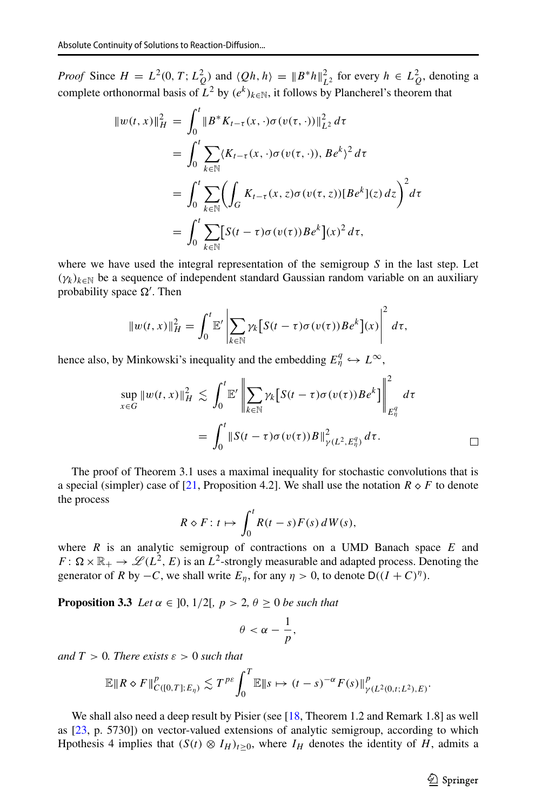*Proof* Since  $H = L^2(0, T; L_Q^2)$  and  $\langle Qh, h \rangle = ||B^*h||_{L^2}^2$  for every  $h \in L_Q^2$ , denoting a complete orthonormal basis of  $L^2$  by  $(e^k)_{k \in \mathbb{N}}$ , it follows by Plancherel's theorem that

$$
\|w(t,x)\|_{H}^{2} = \int_{0}^{t} \|B^{*}K_{t-\tau}(x,\cdot)\sigma(v(\tau,\cdot))\|_{L^{2}}^{2} d\tau
$$
  
\n
$$
= \int_{0}^{t} \sum_{k \in \mathbb{N}} (K_{t-\tau}(x,\cdot)\sigma(v(\tau,\cdot)), B e^{k})^{2} d\tau
$$
  
\n
$$
= \int_{0}^{t} \sum_{k \in \mathbb{N}} \left(\int_{G} K_{t-\tau}(x,z)\sigma(v(\tau,z))[B e^{k}](z) dz\right)^{2} d\tau
$$
  
\n
$$
= \int_{0}^{t} \sum_{k \in \mathbb{N}} [S(t-\tau)\sigma(v(\tau))Be^{k}](x)^{2} d\tau,
$$

where we have used the integral representation of the semigroup *S* in the last step. Let  $(\gamma_k)_{k \in \mathbb{N}}$  be a sequence of independent standard Gaussian random variable on an auxiliary probability space  $\Omega'$ . Then

$$
||w(t,x)||_H^2 = \int_0^t \mathbb{E}' \left| \sum_{k \in \mathbb{N}} \gamma_k \left[ S(t-\tau) \sigma(v(\tau)) B e^k \right] (x) \right|^2 d\tau,
$$

hence also, by Minkowski's inequality and the embedding  $E_{\eta}^q \hookrightarrow L^{\infty}$ ,

$$
\sup_{x \in G} ||w(t, x)||_H^2 \lesssim \int_0^t \mathbb{E}' \left\| \sum_{k \in \mathbb{N}} \gamma_k \left[ S(t - \tau) \sigma(v(\tau)) B e^k \right] \right\|_{E_\eta^q}^2 d\tau
$$

$$
= \int_0^t ||S(t - \tau) \sigma(v(\tau)) B||_{\gamma(L^2, E_\eta^q)}^2 d\tau.
$$

The proof of Theorem 3.1 uses a maximal inequality for stochastic convolutions that is a special (simpler) case of [\[21,](#page-18-2) Proposition 4.2]. We shall use the notation  $R \diamond F$  to denote the process

$$
R \diamond F : t \mapsto \int_0^t R(t-s) F(s) dW(s),
$$

where *R* is an analytic semigroup of contractions on a UMD Banach space *E* and  $F: \Omega \times \mathbb{R}_+ \to \mathscr{L}(L^2, E)$  is an  $L^2$ -strongly measurable and adapted process. Denoting the generator of *R* by  $-C$ , we shall write  $E_n$ , for any  $\eta > 0$ , to denote D $((I + C)^{\eta})$ .

**Proposition 3.3** *Let*  $\alpha \in [0, 1/2], p > 2, \theta \ge 0$  *be such that* 

$$
\theta<\alpha-\frac{1}{p},
$$

*and*  $T > 0$ *. There exists*  $\varepsilon > 0$  *such that* 

$$
\mathbb{E} \|R \diamond F\|_{C([0,T];E_{\eta})}^p \lesssim T^{p\epsilon} \int_0^T \mathbb{E} \|s \mapsto (t-s)^{-\alpha} F(s)\|_{\gamma(L^2(0,t;L^2),E)}^p.
$$

We shall also need a deep result by Pisier (see [\[18,](#page-18-6) Theorem 1.2 and Remark 1.8] as well as [\[23,](#page-18-7) p. 5730]) on vector-valued extensions of analytic semigroup, according to which Hpothesis 4 implies that  $(S(t) \otimes I_H)_{t \geq 0}$ , where  $I_H$  denotes the identity of *H*, admits a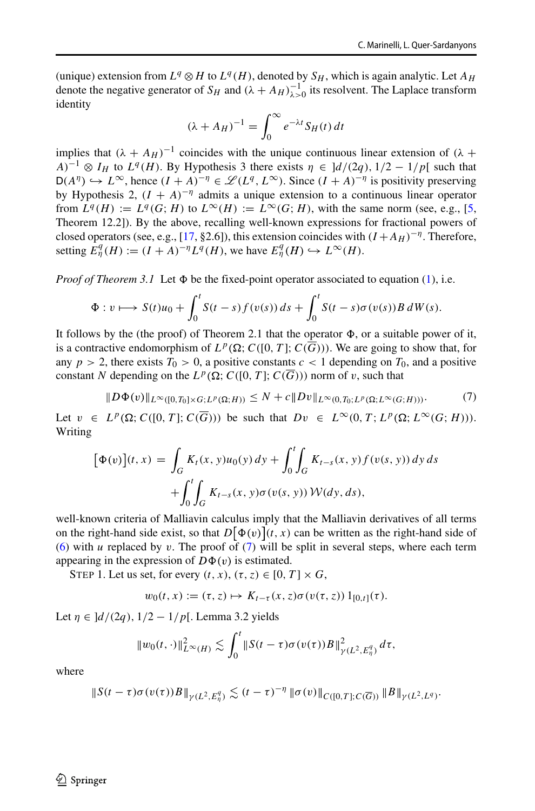(unique) extension from  $L^q \otimes H$  to  $L^q(H)$ , denoted by  $S_H$ , which is again analytic. Let  $A_H$ denote the negative generator of  $S_H$  and  $(\lambda + A_H)^{-1}_{\lambda > 0}$  its resolvent. The Laplace transform identity

$$
(\lambda + A_H)^{-1} = \int_0^\infty e^{-\lambda t} S_H(t) dt
$$

implies that  $(\lambda + A_H)^{-1}$  coincides with the unique continuous linear extension of  $(\lambda +$  $A$ <sup>-1</sup> ⊗ *I<sub>H</sub>* to *L<sup>q</sup>* (*H*). By Hypothesis 3 there exists  $\eta \in [d/(2q), 1/2 - 1/p[$  such that  $D(A^{\eta})$  →  $L^{\infty}$ , hence  $(I + A)^{-\eta}$  ∈  $\mathscr{L}(L^{q}, L^{\infty})$ . Since  $(I + A)^{-\eta}$  is positivity preserving by Hypothesis 2,  $(I + A)^{-\eta}$  admits a unique extension to a continuous linear operator from  $L^q(H) := L^q(G; H)$  to  $L^{\infty}(H) := L^{\infty}(G; H)$ , with the same norm (see, e.g., [\[5,](#page-17-12) Theorem 12.2]). By the above, recalling well-known expressions for fractional powers of closed operators (see, e.g., [\[17,](#page-18-5) §2.6]), this extension coincides with  $(I + A_H)^{-\eta}$ . Therefore, setting  $\hat{E}_{\eta}^q(H) := (I + A)^{-\eta} L^q(H)$ , we have  $E_{\eta}^q(H) \hookrightarrow L^{\infty}(H)$ .

*Proof of Theorem 3.1* Let  $\Phi$  be the fixed-point operator associated to equation [\(1\)](#page-0-0), i.e.

$$
\Phi: v \longmapsto S(t)u_0 + \int_0^t S(t-s)f(v(s))\,ds + \int_0^t S(t-s)\sigma(v(s))B\,dW(s).
$$

It follows by the (the proof) of Theorem 2.1 that the operator  $\Phi$ , or a suitable power of it, is a contractive endomorphism of  $L^p(\Omega; C([0, T]; C(\overline{G})))$ . We are going to show that, for any  $p > 2$ , there exists  $T_0 > 0$ , a positive constants  $c < 1$  depending on  $T_0$ , and a positive constant *N* depending on the  $L^p(\Omega; C([0, T]; C(\overline{G})))$  norm of *v*, such that

<span id="page-9-0"></span>
$$
||D\Phi(v)||_{L^{\infty}([0,T_0]\times G;L^p(\Omega;H))}\leq N+c||Dv||_{L^{\infty}(0,T_0;L^p(\Omega;L^{\infty}(G;H)))}.
$$
 (7)

Let  $v \in L^p(\Omega; C([0, T]; C(\overline{G})))$  be such that  $Dv \in L^\infty(0, T; L^p(\Omega; L^\infty(G; H)))$ . Writing

$$
[\Phi(v)](t, x) = \int_G K_t(x, y)u_0(y) dy + \int_0^t \int_G K_{t-s}(x, y) f(v(s, y)) dy ds + \int_0^t \int_G K_{t-s}(x, y) \sigma(v(s, y)) W(dy, ds),
$$

well-known criteria of Malliavin calculus imply that the Malliavin derivatives of all terms on the right-hand side exist, so that  $D[\Phi(v)](t, x)$  can be written as the right-hand side of [\(6\)](#page-7-0) with *u* replaced by *v*. The proof of [\(7\)](#page-9-0) will be split in several steps, where each term appearing in the expression of  $D\Phi(v)$  is estimated.

STEP 1. Let us set, for every  $(t, x)$ ,  $(\tau, z) \in [0, T] \times G$ ,

$$
w_0(t,x) := (\tau, z) \mapsto K_{t-\tau}(x, z) \sigma(v(\tau, z)) 1_{[0,t]}(\tau).
$$

Let *η* ∈ ]*d/(*2*q),* 1*/*2 − 1*/p*[. Lemma 3.2 yields

$$
||w_0(t,\cdot)||_{L^{\infty}(H)}^2 \lesssim \int_0^t ||S(t-\tau)\sigma(v(\tau))B||_{\gamma(L^2,E_{\eta}^q)}^2 d\tau,
$$

where

$$
\|S(t-\tau)\sigma(v(\tau))B\|_{\gamma(L^2,E^q_\eta)} \lesssim (t-\tau)^{-\eta} \|\sigma(v)\|_{C([0,T];C(\overline{G}))} \|B\|_{\gamma(L^2,L^q)}.
$$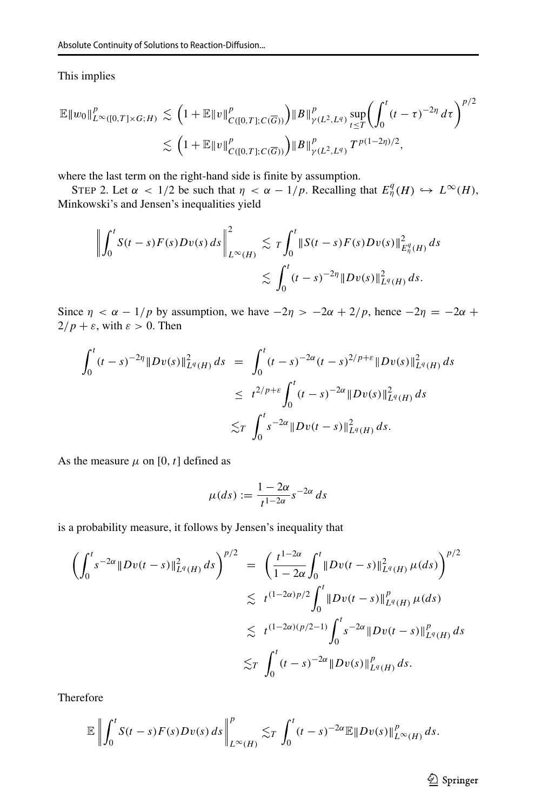### This implies

$$
\mathbb{E} \|w_0\|_{L^{\infty}([0,T]\times G;H)}^p \lesssim \left(1+\mathbb{E} \|v\|_{C([0,T];C(\overline{G}))}^p\right) \|B\|_{\gamma(L^2,L^q)}^p \sup_{t\leq T} \left(\int_0^t (t-\tau)^{-2\eta} d\tau\right)^{p/2} \lesssim \left(1+\mathbb{E} \|v\|_{C([0,T];C(\overline{G}))}^p\right) \|B\|_{\gamma(L^2,L^q)}^p T^{p(1-2\eta)/2},
$$

where the last term on the right-hand side is finite by assumption.

STEP 2. Let  $\alpha < 1/2$  be such that  $\eta < \alpha - 1/p$ . Recalling that  $E_{\eta}^{q}(H) \hookrightarrow L^{\infty}(H)$ , Minkowski's and Jensen's inequalities yield

$$
\left\| \int_0^t S(t-s) F(s) D v(s) \, ds \right\|_{L^{\infty}(H)}^2 \lesssim \, T \int_0^t \left\| S(t-s) F(s) D v(s) \right\|_{L^q(H)}^2 ds \\ \lesssim \, \int_0^t (t-s)^{-2\eta} \left\| D v(s) \right\|_{L^q(H)}^2 ds.
$$

Since  $\eta < \alpha - 1/p$  by assumption, we have  $-2\eta > -2\alpha + 2/p$ , hence  $-2\eta = -2\alpha +$  $2/p + \varepsilon$ , with  $\varepsilon > 0$ . Then

$$
\int_0^t (t-s)^{-2\eta} \|Dv(s)\|_{L^q(H)}^2 ds = \int_0^t (t-s)^{-2\alpha} (t-s)^{2/p+\varepsilon} \|Dv(s)\|_{L^q(H)}^2 ds
$$
  

$$
\leq t^{2/p+\varepsilon} \int_0^t (t-s)^{-2\alpha} \|Dv(s)\|_{L^q(H)}^2 ds
$$
  

$$
\lesssim_T \int_0^t s^{-2\alpha} \|Dv(t-s)\|_{L^q(H)}^2 ds.
$$

As the measure  $\mu$  on [0, t] defined as

$$
\mu(ds) := \frac{1 - 2\alpha}{t^{1 - 2\alpha}} s^{-2\alpha} ds
$$

is a probability measure, it follows by Jensen's inequality that

$$
\left(\int_0^t s^{-2\alpha} \|Dv(t-s)\|_{L^q(H)}^2 ds\right)^{p/2} = \left(\frac{t^{1-2\alpha}}{1-2\alpha} \int_0^t \|Dv(t-s)\|_{L^q(H)}^2 \mu(ds)\right)^{p/2}
$$
  
\n $\leq t^{(1-2\alpha)p/2} \int_0^t \|Dv(t-s)\|_{L^q(H)}^p \mu(ds)$   
\n $\leq t^{(1-2\alpha)(p/2-1)} \int_0^t s^{-2\alpha} \|Dv(t-s)\|_{L^q(H)}^p ds$   
\n $\leq t \int_0^t (t-s)^{-2\alpha} \|Dv(s)\|_{L^q(H)}^p ds.$ 

Therefore

$$
\mathbb{E}\left\|\int_0^t S(t-s)F(s)Dv(s)\,ds\right\|_{L^\infty(H)}^p\lesssim_T\int_0^t (t-s)^{-2\alpha}\mathbb{E}\|Dv(s)\|_{L^\infty(H)}^p\,ds.
$$

**◯** Springer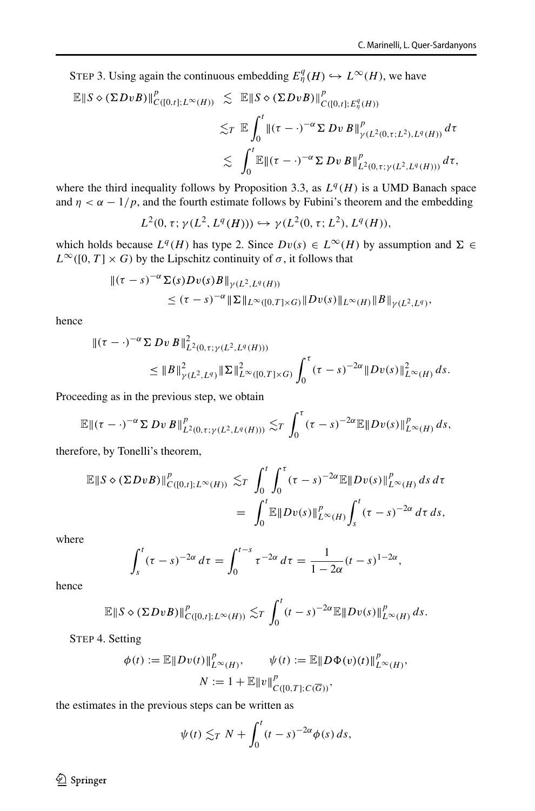STEP 3. Using again the continuous embedding  $E^q_\eta(H) \hookrightarrow L^\infty(H)$ , we have

$$
\mathbb{E} \|S \diamond (\Sigma D v B)\|_{C([0,t];L^{\infty}(H))}^p \lesssim \mathbb{E} \|S \diamond (\Sigma D v B)\|_{C([0,t];E^q_{\eta}(H))}^p
$$
  

$$
\lesssim_T \mathbb{E} \int_0^t \|(\tau - \cdot)^{-\alpha} \Sigma D v B\|_{\gamma(L^2(0,\tau;L^2),L^q(H))}^p d\tau
$$
  

$$
\lesssim \int_0^t \mathbb{E} \|(\tau - \cdot)^{-\alpha} \Sigma D v B\|_{L^2(0,\tau;\gamma(L^2,L^q(H)))}^p d\tau,
$$

where the third inequality follows by Proposition 3.3, as  $L^q(H)$  is a UMD Banach space and  $\eta < \alpha - 1/p$ , and the fourth estimate follows by Fubini's theorem and the embedding

$$
L^2(0, \tau; \gamma(L^2, L^q(H))) \hookrightarrow \gamma(L^2(0, \tau; L^2), L^q(H)),
$$

which holds because  $L^q(H)$  has type 2. Since  $Dv(s) \in L^{\infty}(H)$  by assumption and  $\Sigma \in$  $L^{\infty}([0, T] \times G)$  by the Lipschitz continuity of  $\sigma$ , it follows that

$$
\begin{aligned} ||(\tau - s)^{-\alpha} \Sigma(s) D v(s) B ||_{\gamma(L^2, L^q(H))} \\ &\leq (\tau - s)^{-\alpha} ||\Sigma||_{L^\infty([0, T] \times G)} ||D v(s)||_{L^\infty(H)} ||B||_{\gamma(L^2, L^q)}, \end{aligned}
$$

hence

$$
\|(\tau - \cdot)^{-\alpha} \Sigma D v B\|_{L^2(0, \tau; \gamma(L^2, L^q(H)))}^2
$$
  
\$\leq \|B\|\_{\gamma(L^2, L^q)}^2 \|\Sigma\|\_{L^\infty([0, T] \times G)}^2 \int\_0^\tau (\tau - s)^{-2\alpha} \|D v(s)\|\_{L^\infty(H)}^2 ds.\$

Proceeding as in the previous step, we obtain

$$
\mathbb{E} \| (\tau - \cdot)^{-\alpha} \Sigma D v B \|_{L^2(0,\tau;\gamma(L^2,L^q(H)))}^p \lesssim_T \int_0^{\tau} (\tau - s)^{-2\alpha} \mathbb{E} \| D v(s) \|_{L^{\infty}(H)}^p ds,
$$

therefore, by Tonelli's theorem,

$$
\mathbb{E} \|S \diamond (\Sigma DvB)\|_{C([0,t];L^{\infty}(H))}^p \lesssim_T \int_0^t \int_0^{\tau} (\tau - s)^{-2\alpha} \mathbb{E} \|Dv(s)\|_{L^{\infty}(H)}^p ds d\tau
$$
  
= 
$$
\int_0^t \mathbb{E} \|Dv(s)\|_{L^{\infty}(H)}^p \int_s^t (\tau - s)^{-2\alpha} d\tau ds,
$$

where

$$
\int_{s}^{t} (\tau - s)^{-2\alpha} d\tau = \int_{0}^{t-s} \tau^{-2\alpha} d\tau = \frac{1}{1 - 2\alpha} (t - s)^{1 - 2\alpha},
$$

hence

$$
\mathbb{E}\|S \diamond (\Sigma DvB)\|_{C([0,t];L^{\infty}(H))}^p \lesssim_T \int_0^t (t-s)^{-2\alpha} \mathbb{E}\|Dv(s)\|_{L^{\infty}(H)}^p ds.
$$

STEP 4. Setting

$$
\phi(t) := \mathbb{E} \|Dv(t)\|_{L^{\infty}(H)}^p, \qquad \psi(t) := \mathbb{E} \|D\Phi(v)(t)\|_{L^{\infty}(H)}^p,
$$
  

$$
N := 1 + \mathbb{E} \|v\|_{C([0,T];C(\overline{G}))}^p,
$$

the estimates in the previous steps can be written as

$$
\psi(t) \lesssim_T N + \int_0^t (t-s)^{-2\alpha} \phi(s) \, ds,
$$

2 Springer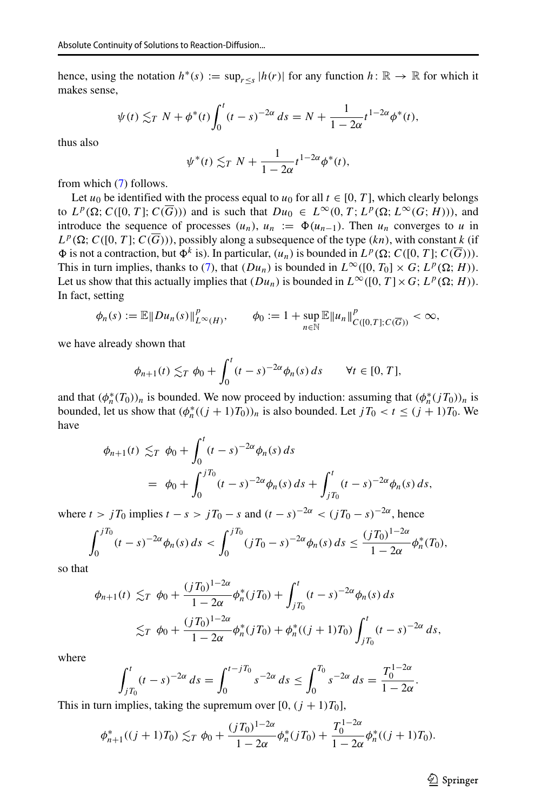hence, using the notation  $h^*(s) := \sup_{r \leq s} |h(r)|$  for any function  $h: \mathbb{R} \to \mathbb{R}$  for which it makes sense,

$$
\psi(t) \lesssim_T N + \phi^*(t) \int_0^t (t-s)^{-2\alpha} ds = N + \frac{1}{1-2\alpha} t^{1-2\alpha} \phi^*(t),
$$

thus also

$$
\psi^*(t) \lesssim_T N + \frac{1}{1-2\alpha} t^{1-2\alpha} \phi^*(t),
$$

from which [\(7\)](#page-9-0) follows.

Let  $u_0$  be identified with the process equal to  $u_0$  for all  $t \in [0, T]$ , which clearly belongs to  $L^p(\Omega; C([0, T]; C(\overline{G})))$  and is such that  $Du_0 \in L^\infty(0, T; L^p(\Omega; L^\infty(G; H)))$ , and introduce the sequence of processes  $(u_n)$ ,  $u_n := \Phi(u_{n-1})$ . Then  $u_n$  converges to *u* in  $L^p(\Omega; C([0, T]; C(\overline{G})))$ , possibly along a subsequence of the type *(kn)*, with constant *k* (if  $\Phi$  is not a contraction, but  $\Phi^k$  is). In particular,  $(u_n)$  is bounded in  $L^p(\Omega; C([0, T]; C(\overline{G})))$ . This in turn implies, thanks to [\(7\)](#page-9-0), that  $(Du_n)$  is bounded in  $L^{\infty}([0, T_0] \times G; L^p(\Omega; H))$ . Let us show that this actually implies that  $(Du_n)$  is bounded in  $L^{\infty}([0, T] \times G; L^p(\Omega; H))$ . In fact, setting

$$
\phi_n(s) := \mathbb{E} \|Du_n(s)\|_{L^{\infty}(H)}^p, \qquad \phi_0 := 1 + \sup_{n \in \mathbb{N}} \mathbb{E} \|u_n\|_{C([0,T];C(\overline{G}))}^p < \infty,
$$

we have already shown that

$$
\phi_{n+1}(t) \lesssim_T \phi_0 + \int_0^t (t-s)^{-2\alpha} \phi_n(s) ds \qquad \forall t \in [0,T],
$$

and that  $(\phi_n^*(T_0))_n$  is bounded. We now proceed by induction: assuming that  $(\phi_n^*(T_0))_n$  is bounded, let us show that  $(\phi_n^*((j + 1)T_0))_n$  is also bounded. Let  $jT_0 < t \le (j + 1)T_0$ . We have

$$
\phi_{n+1}(t) \lesssim_T \phi_0 + \int_0^t (t-s)^{-2\alpha} \phi_n(s) ds
$$
  
=  $\phi_0 + \int_0^{jT_0} (t-s)^{-2\alpha} \phi_n(s) ds + \int_{jT_0}^t (t-s)^{-2\alpha} \phi_n(s) ds,$ 

where  $t > jT_0$  implies  $t - s > jT_0 - s$  and  $(t - s)^{-2\alpha} < (jT_0 - s)^{-2\alpha}$ , hence

$$
\int_0^{jT_0} (t-s)^{-2\alpha} \phi_n(s) \, ds < \int_0^{jT_0} (jT_0 - s)^{-2\alpha} \phi_n(s) \, ds \le \frac{(jT_0)^{1-2\alpha}}{1-2\alpha} \phi_n^*(T_0),
$$

so that

$$
\phi_{n+1}(t) \lesssim_T \phi_0 + \frac{(jT_0)^{1-2\alpha}}{1-2\alpha} \phi_n^*(jT_0) + \int_{jT_0}^t (t-s)^{-2\alpha} \phi_n(s) ds
$$
  

$$
\lesssim_T \phi_0 + \frac{(jT_0)^{1-2\alpha}}{1-2\alpha} \phi_n^*(jT_0) + \phi_n^*((j+1)T_0) \int_{jT_0}^t (t-s)^{-2\alpha} ds,
$$

where

$$
\int_{jT_0}^{t} (t-s)^{-2\alpha} ds = \int_0^{t-jT_0} s^{-2\alpha} ds \le \int_0^{T_0} s^{-2\alpha} ds = \frac{T_0^{1-2\alpha}}{1-2\alpha}.
$$

This in turn implies, taking the supremum over  $[0, (j + 1)T_0]$ ,

$$
\phi_{n+1}^*((j+1)T_0) \lesssim_T \phi_0 + \frac{(jT_0)^{1-2\alpha}}{1-2\alpha} \phi_n^*(jT_0) + \frac{T_0^{1-2\alpha}}{1-2\alpha} \phi_n^*((j+1)T_0).
$$

 $\textcircled{2}$  Springer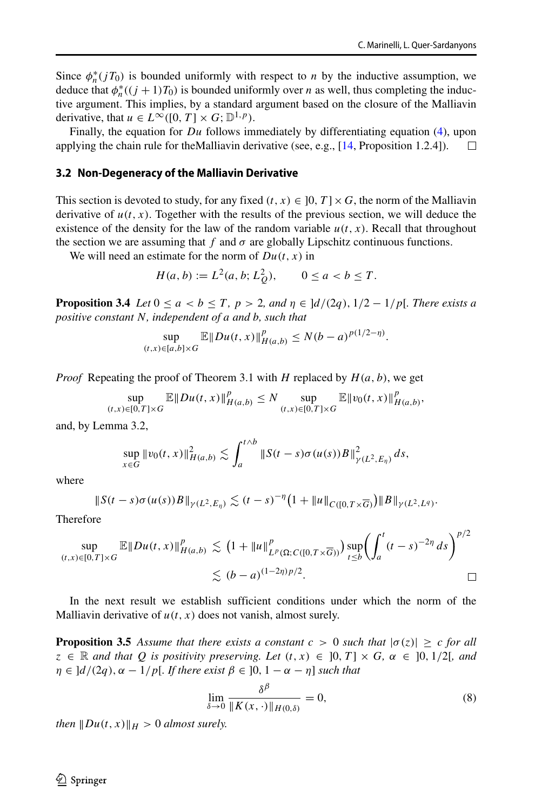$\frac{1}{2}$ 

Since  $\phi_n^*(jT_0)$  is bounded uniformly with respect to *n* by the inductive assumption, we deduce that  $\phi_n^*((j + 1)T_0)$  is bounded uniformly over *n* as well, thus completing the inductive argument. This implies, by a standard argument based on the closure of the Malliavin derivative, that  $u \in L^{\infty}([0, T] \times G; \mathbb{D}^{1, p})$ .

Finally, the equation for *Du* follows immediately by differentiating equation [\(4\)](#page-5-1), upon applying the chain rule for theMalliavin derivative (see, e.g., [\[14,](#page-17-11) Proposition 1.2.4]).  $\Box$ 

#### **3.2 Non-Degeneracy of the Malliavin Derivative**

This section is devoted to study, for any fixed  $(t, x) \in [0, T] \times G$ , the norm of the Malliavin derivative of  $u(t, x)$ . Together with the results of the previous section, we will deduce the existence of the density for the law of the random variable  $u(t, x)$ . Recall that throughout the section we are assuming that  $f$  and  $\sigma$  are globally Lipschitz continuous functions.

We will need an estimate for the norm of  $Du(t, x)$  in

$$
H(a, b) := L2(a, b; LQ2), \qquad 0 \le a < b \le T.
$$

**Proposition 3.4** *Let*  $0 \le a < b \le T$ ,  $p > 2$ , and  $\eta \in \frac{d}{2q}$ ,  $\frac{1}{2} - \frac{1}{p}$ . There exists a *positive constant N, independent of a and b, such that*

$$
\sup_{(t,x)\in[a,b]\times G} \mathbb{E} \|Du(t,x)\|_{H(a,b)}^p \le N(b-a)^{p(1/2-\eta)}.
$$

*Proof* Repeating the proof of Theorem 3.1 with *H* replaced by *H (a, b)*, we get

$$
\sup_{(t,x)\in[0,T]\times G} \mathbb{E} \|Du(t,x)\|_{H(a,b)}^p \le N \sup_{(t,x)\in[0,T]\times G} \mathbb{E} \|v_0(t,x)\|_{H(a,b)}^p,
$$

and, by Lemma 3.2,

$$
\sup_{x \in G} \|v_0(t, x)\|_{H(a, b)}^2 \lesssim \int_a^{t \wedge b} \|S(t - s) \sigma(u(s))B\|_{\gamma(L^2, E_\eta)}^2 ds,
$$

where

$$
\|S(t-s)\sigma(u(s))B\|_{\gamma(L^2,E_{\eta})}\lesssim (t-s)^{-\eta}\big(1+\|u\|_{C([0,T\times\overline{G})}\big)\|B\|_{\gamma(L^2,L^q)}.
$$

Therefore

$$
\sup_{(t,x)\in[0,T]\times G} \mathbb{E} \|Du(t,x)\|_{H(a,b)}^p \lesssim (1 + \|u\|_{L^p(\Omega;C([0,T\times \overline{G}))}^p) \sup_{t\leq b} \left(\int_a^t (t-s)^{-2\eta} ds\right)^{p/2} \lesssim (b-a)^{(1-2\eta)p/2}.
$$

In the next result we establish sufficient conditions under which the norm of the Malliavin derivative of  $u(t, x)$  does not vanish, almost surely.

**Proposition 3.5** Assume that there exists a constant  $c > 0$  such that  $|\sigma(z)| > c$  for all  $z \in \mathbb{R}$  *and that Q is positivity preserving. Let*  $(t, x) \in [0, T] \times G$ *,*  $\alpha \in [0, 1/2]$ *, and*  $\eta \in \left] d/(2q), \alpha - 1/p \right[$ *. If there exist*  $\beta \in [0, 1 - \alpha - \eta]$  *such that* 

<span id="page-13-0"></span>
$$
\lim_{\delta \to 0} \frac{\delta^{\beta}}{\|K(x, \cdot)\|_{H(0,\delta)}} = 0,
$$
\n(8)

*then*  $\|Du(t, x)\|_H > 0$  *almost surely.*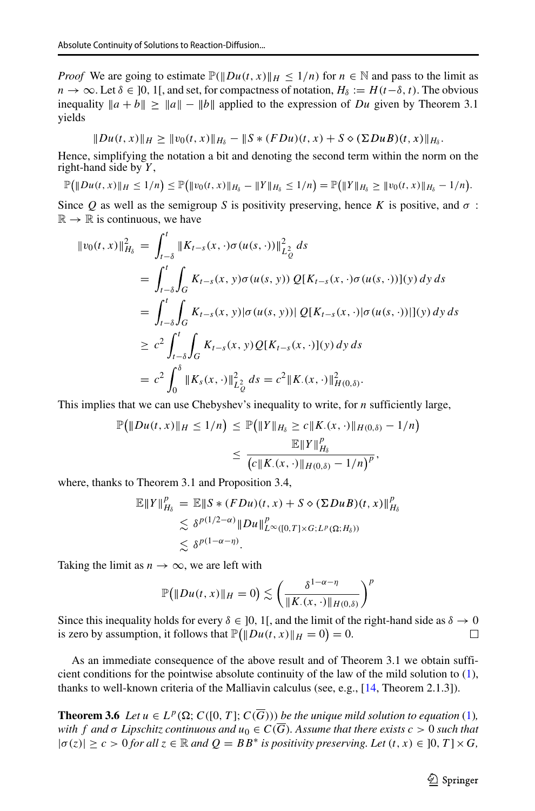$\overline{\phantom{a}}$ 

*Proof* We are going to estimate  $P(\|Du(t, x)\|_H \leq 1/n)$  for  $n \in \mathbb{N}$  and pass to the limit as *n* → ∞. Let  $\delta \in ]0, 1[$ , and set, for compactness of notation,  $H_{\delta} := H(t-\delta, t)$ . The obvious inequality  $\|a + b\| \ge \|a\| - \|b\|$  applied to the expression of *Du* given by Theorem 3.1 yields

$$
|Du(t, x)||_H \geq ||v_0(t, x)||_{H_\delta} - ||S * (FDu)(t, x) + S \diamond (\Sigma Du B)(t, x)||_{H_\delta}.
$$

Hence, simplifying the notation a bit and denoting the second term within the norm on the right-hand side by *Y* ,

$$
\mathbb{P}\big(\|Du(t,x)\|_H\leq 1/n\big)\leq \mathbb{P}\big(\|v_0(t,x)\|_{H_\delta}-\|Y\|_{H_\delta}\leq 1/n\big)=\mathbb{P}\big(\|Y\|_{H_\delta}\geq \|v_0(t,x)\|_{H_\delta}-1/n\big).
$$

Since *Q* as well as the semigroup *S* is positivity preserving, hence *K* is positive, and *σ* :  $\mathbb{R} \to \mathbb{R}$  is continuous, we have

$$
\|v_0(t, x)\|_{H_\delta}^2 = \int_{t-\delta}^t \|K_{t-s}(x, \cdot)\sigma(u(s, \cdot))\|_{L_Q^2}^2 ds
$$
  
\n
$$
= \int_{t-\delta}^t \int_G K_{t-s}(x, y)\sigma(u(s, y)) Q[K_{t-s}(x, \cdot)\sigma(u(s, \cdot))](y) dy ds
$$
  
\n
$$
= \int_{t-\delta}^t \int_G K_{t-s}(x, y)|\sigma(u(s, y))| Q[K_{t-s}(x, \cdot)|\sigma(u(s, \cdot))](y) dy ds
$$
  
\n
$$
\ge c^2 \int_{t-\delta}^t \int_G K_{t-s}(x, y) Q[K_{t-s}(x, \cdot)](y) dy ds
$$
  
\n
$$
= c^2 \int_0^{\delta} \|K_s(x, \cdot)\|_{L_Q^2}^2 ds = c^2 \|K_{\cdot}(x, \cdot)\|_{H(0,\delta)}^2.
$$

This implies that we can use Chebyshev's inequality to write, for *n* sufficiently large,

$$
\mathbb{P}(\|Du(t,x)\|_{H} \le 1/n) \le \mathbb{P}(\|Y\|_{H_{\delta}} \ge c \|K_{\cdot}(x,\cdot)\|_{H(0,\delta)} - 1/n)
$$
  

$$
\le \frac{\mathbb{E}\|Y\|_{H_{\delta}}^p}{\left(c \|K_{\cdot}(x,\cdot)\|_{H(0,\delta)} - 1/n\right)^p},
$$

where, thanks to Theorem 3.1 and Proposition 3.4,

$$
\mathbb{E}||Y||_{H_{\delta}}^p = \mathbb{E}||S * (FDu)(t, x) + S \diamond (\Sigma DuB)(t, x)||_{H_{\delta}}^p
$$
  
\$\leq \delta^{p(1/2-\alpha)} ||Du||\_{L^{\infty}([0, T] \times G; L^p(\Omega; H\_{\delta}))\$  
\$\leq \delta^{p(1-\alpha-\eta)}.

Taking the limit as  $n \to \infty$ , we are left with

$$
\mathbb{P}\big(\|Du(t,x)\|_H=0\big)\lesssim \left(\frac{\delta^{1-\alpha-\eta}}{\|K_\cdot(x,\cdot)\|_{H(0,\delta)}}\right)^p
$$

Since this inequality holds for every  $\delta \in ]0, 1[$ , and the limit of the right-hand side as  $\delta \to 0$  is zero by assumption, it follows that  $\mathbb{P}(|Du(t, x)| | H = 0) = 0$ . is zero by assumption, it follows that  $\mathbb{P}(\Vert Du(t, x)\Vert_{H} = 0) = 0$ .

As an immediate consequence of the above result and of Theorem 3.1 we obtain sufficient conditions for the pointwise absolute continuity of the law of the mild solution to [\(1\)](#page-0-0), thanks to well-known criteria of the Malliavin calculus (see, e.g., [\[14,](#page-17-11) Theorem 2.1.3]).

**Theorem 3.6** *Let*  $u \in L^p(\Omega; C([0, T]; C(\overline{G})))$  *be the unique mild solution to equation* [\(1\)](#page-0-0)*, with f* and  $\sigma$  *Lipschitz continuous and*  $u_0 \in C(\overline{G})$ *. Assume that there exists*  $c > 0$  *such that*  $|\sigma(z)| \ge c > 0$  *for all*  $z \in \mathbb{R}$  *and*  $Q = BB^*$  *is positivity preserving. Let*  $(t, x) \in [0, T] \times G$ *,*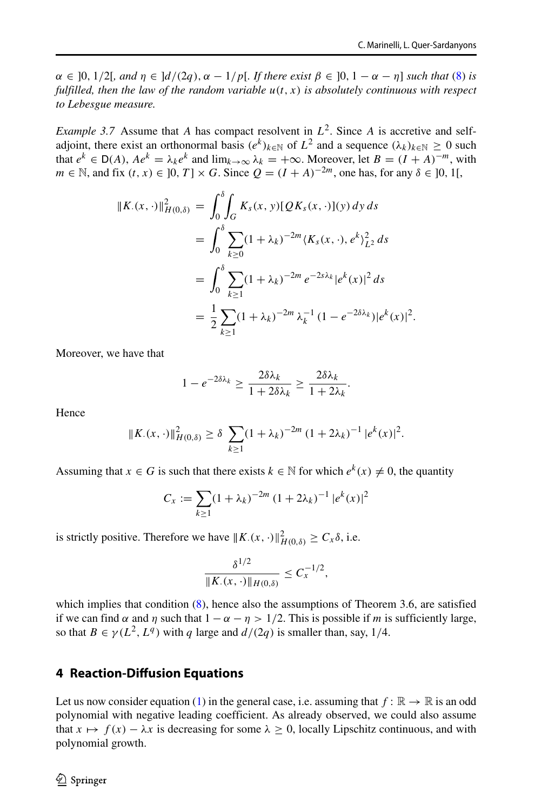*α* ∈ [0*,* 1/2[*, and η* ∈  $\lfloor d/(2q)$ *, α* − 1/*p*[*. If there exist*  $β ∈ [0, 1 − α − η]$  *such that* [\(8\)](#page-13-0) *is fulfilled, then the law of the random variable*  $u(t, x)$  *is absolutely continuous with respect to Lebesgue measure.*

*Example 3.7* Assume that *A* has compact resolvent in  $L^2$ . Since *A* is accretive and selfadjoint, there exist an orthonormal basis  $(e^k)_{k \in \mathbb{N}}$  of  $L^2$  and a sequence  $(\lambda_k)_{k \in \mathbb{N}} \geq 0$  such that  $e^k \in D(A)$ ,  $A e^k = \lambda_k e^k$  and  $\lim_{k \to \infty} \lambda_k = +\infty$ . Moreover, let  $B = (I + A)^{-m}$ , with *m* ∈ N, and fix  $(t, x)$  ∈  $]0, T] \times G$ . Since  $Q = (I + A)^{-2m}$ , one has, for any  $\delta \in ]0, 1[$ ,

$$
||K_{\cdot}(x,\cdot)||_{H(0,\delta)}^{2} = \int_{0}^{\delta} \int_{G} K_{s}(x,\cdot)[QK_{s}(x,\cdot)](y) \, dy \, ds
$$
  
\n
$$
= \int_{0}^{\delta} \sum_{k\geq 0} (1+\lambda_{k})^{-2m} \langle K_{s}(x,\cdot), e^{k} \rangle_{L^{2}}^{2} \, ds
$$
  
\n
$$
= \int_{0}^{\delta} \sum_{k\geq 1} (1+\lambda_{k})^{-2m} e^{-2s\lambda_{k}} |e^{k}(x)|^{2} \, ds
$$
  
\n
$$
= \frac{1}{2} \sum_{k\geq 1} (1+\lambda_{k})^{-2m} \lambda_{k}^{-1} (1-e^{-2\delta\lambda_{k}}) |e^{k}(x)|^{2}.
$$

Moreover, we have that

$$
1 - e^{-2\delta\lambda_k} \ge \frac{2\delta\lambda_k}{1 + 2\delta\lambda_k} \ge \frac{2\delta\lambda_k}{1 + 2\lambda_k}.
$$

Hence

$$
||K_{\cdot}(x,\cdot)||_{H(0,\delta)}^2 \geq \delta \sum_{k\geq 1} (1+\lambda_k)^{-2m} (1+2\lambda_k)^{-1} |e^k(x)|^2.
$$

Assuming that  $x \in G$  is such that there exists  $k \in \mathbb{N}$  for which  $e^{k}(x) \neq 0$ , the quantity

$$
C_x := \sum_{k \ge 1} (1 + \lambda_k)^{-2m} (1 + 2\lambda_k)^{-1} |e^k(x)|^2
$$

is strictly positive. Therefore we have  $||K_{\cdot}(x, \cdot)||_{H(0,\delta)}^2 \ge C_x \delta$ , i.e.

$$
\frac{\delta^{1/2}}{\|K_{\cdot}(x,\cdot)\|_{H(0,\delta)}} \leq C_{x}^{-1/2},
$$

which implies that condition  $(8)$ , hence also the assumptions of Theorem 3.6, are satisfied if we can find  $\alpha$  and  $\eta$  such that  $1 - \alpha - \eta > 1/2$ . This is possible if *m* is sufficiently large, so that  $B \in \gamma(L^2, L^q)$  with *q* large and  $d/(2q)$  is smaller than, say, 1/4.

### <span id="page-15-0"></span>**4 Reaction-Diffusion Equations**

Let us now consider equation [\(1\)](#page-0-0) in the general case, i.e. assuming that  $f : \mathbb{R} \to \mathbb{R}$  is an odd polynomial with negative leading coefficient. As already observed, we could also assume that  $x \mapsto f(x) - \lambda x$  is decreasing for some  $\lambda \ge 0$ , locally Lipschitz continuous, and with polynomial growth.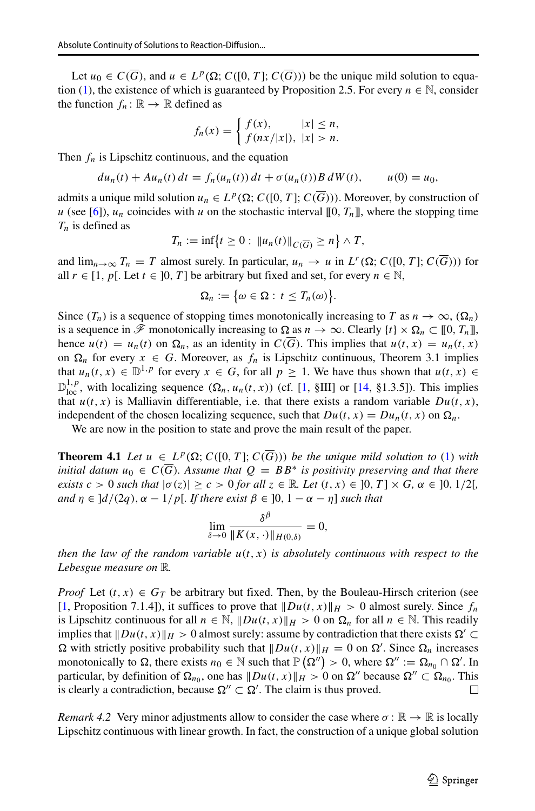Let  $u_0 \in C(\overline{G})$ , and  $u \in L^p(\Omega; C([0, T]; C(\overline{G})))$  be the unique mild solution to equa-tion [\(1\)](#page-0-0), the existence of which is guaranteed by Proposition 2.5. For every  $n \in \mathbb{N}$ , consider the function  $f_n: \mathbb{R} \to \mathbb{R}$  defined as

$$
f_n(x) = \begin{cases} f(x), & |x| \le n, \\ f(nx/|x|), & |x| > n. \end{cases}
$$

Then  $f_n$  is Lipschitz continuous, and the equation

$$
du_n(t) + Au_n(t) dt = f_n(u_n(t)) dt + \sigma(u_n(t)) B dW(t), \qquad u(0) = u_0,
$$

admits a unique mild solution  $u_n \in L^p(\Omega; C([0, T]; C(\overline{G})))$ . Moreover, by construction of *u* (see [\[6\]](#page-17-3)),  $u_n$  coincides with *u* on the stochastic interval [[0,  $T_n$ ]], where the stopping time *Tn* is defined as

$$
T_n := \inf \{ t \geq 0 : ||u_n(t)||_{C(\overline{G})} \geq n \} \wedge T,
$$

and  $\lim_{n\to\infty} T_n = T$  almost surely. In particular,  $u_n \to u$  in  $L^r(\Omega; C([0, T]; C(\overline{G})))$  for all *r* ∈ [1, *p*[. Let *t* ∈ ]0, *T*] be arbitrary but fixed and set, for every *n* ∈ N,

$$
\Omega_n := \big\{\omega \in \Omega : t \leq T_n(\omega)\big\}.
$$

Since  $(T_n)$  is a sequence of stopping times monotonically increasing to *T* as  $n \to \infty$ ,  $(\Omega_n)$ is a sequence in  $\mathcal F$  monotonically increasing to  $\Omega$  as  $n \to \infty$ . Clearly  $\{t\} \times \Omega_n \subset [0, T_n]$ , hence  $u(t) = u_n(t)$  on  $\Omega_n$ , as an identity in  $C(\overline{G})$ . This implies that  $u(t, x) = u_n(t, x)$ on  $\Omega_n$  for every  $x \in G$ . Moreover, as  $f_n$  is Lipschitz continuous, Theorem 3.1 implies that  $u_n(t, x) \in \mathbb{D}^{1, p}$  for every  $x \in G$ , for all  $p \ge 1$ . We have thus shown that  $u(t, x) \in$  $\mathbb{D}^{1,p}_{loc}$ , with localizing sequence  $(\Omega_n, u_n(t, x))$  (cf. [\[1,](#page-17-13) §III] or [\[14,](#page-17-11) §1.3.5]). This implies that  $u(t, x)$  is Malliavin differentiable, i.e. that there exists a random variable  $Du(t, x)$ , independent of the chosen localizing sequence, such that  $Du(t, x) = Du_n(t, x)$  on  $\Omega_n$ .

We are now in the position to state and prove the main result of the paper.

**Theorem 4.1** Let  $u \in L^p(\Omega; C([0, T]; C(\overline{G})))$  be the unique mild solution to [\(1\)](#page-0-0) with *initial datum*  $u_0 \in C(G)$ *. Assume that*  $Q = BB^*$  *is positivity preserving and that there exists*  $c > 0$  *such that*  $|\sigma(z)| \ge c > 0$  *for all*  $z \in \mathbb{R}$ *. Let*  $(t, x) \in [0, T] \times G$ ,  $\alpha \in [0, 1/2]$ *, and*  $\eta \in \left\{ \frac{d}{2q}, \alpha - \frac{1}{p}\right\}$ . If there exist  $\beta \in [0, 1 - \alpha - \eta]$  such that

$$
\lim_{\delta \to 0} \frac{\delta^{\beta}}{\|K(x, \cdot)\|_{H(0,\delta)}} = 0,
$$

*then the law of the random variable u(t, x) is absolutely continuous with respect to the Lebesgue measure on* R*.*

*Proof* Let  $(t, x) \in G_T$  be arbitrary but fixed. Then, by the Bouleau-Hirsch criterion (see [\[1,](#page-17-13) Proposition 7.1.4]), it suffices to prove that  $\|Du(t, x)\|_{H} > 0$  almost surely. Since  $f_n$ is Lipschitz continuous for all  $n \in \mathbb{N}$ ,  $\|Du(t, x)\|_H > 0$  on  $\Omega_n$  for all  $n \in \mathbb{N}$ . This readily implies that  $\|Du(t, x)\|_{H} > 0$  almost surely: assume by contradiction that there exists  $\Omega' \subset$  $\Omega$  with strictly positive probability such that  $\|Du(t, x)\|_H = 0$  on  $\Omega'$ . Since  $\Omega_n$  increases monotonically to  $\Omega$ , there exists  $n_0 \in \mathbb{N}$  such that  $\mathbb{P}(\Omega'') > 0$ , where  $\Omega'' := \Omega_{n_0} \cap \Omega'$ . In particular, by definition of  $\Omega_{n_0}$ , one has  $||Du(t, x)||_H > 0$  on  $\Omega''$  because  $\Omega'' \subset \Omega_{n_0}$ . This is clearly a contradiction, because  $\Omega'' \subset \Omega'$ . The claim is thus proved. is clearly a contradiction, because  $\Omega'' \subset \Omega'$ . The claim is thus proved.

*Remark 4.2* Very minor adjustments allow to consider the case where  $\sigma : \mathbb{R} \to \mathbb{R}$  is locally Lipschitz continuous with linear growth. In fact, the construction of a unique global solution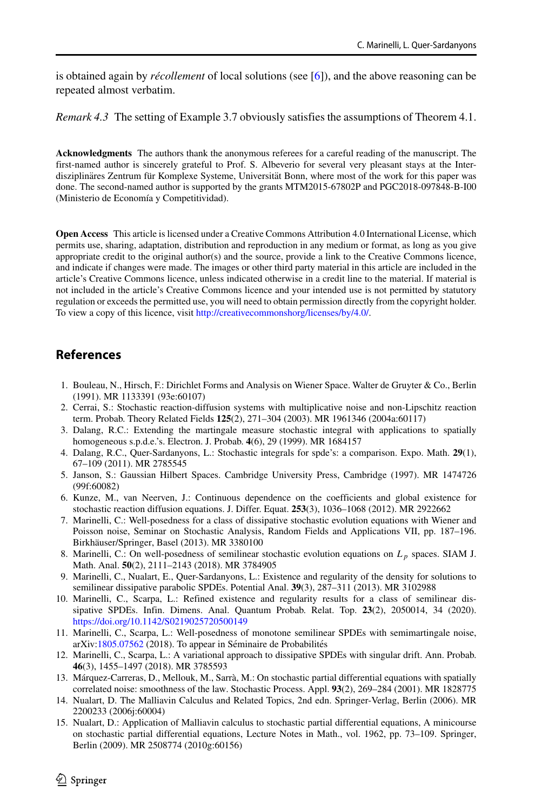is obtained again by *récollement* of local solutions (see [\[6\]](#page-17-3)), and the above reasoning can be repeated almost verbatim.

*Remark 4.3* The setting of Example 3.7 obviously satisfies the assumptions of Theorem 4.1.

**Acknowledgments** The authors thank the anonymous referees for a careful reading of the manuscript. The first-named author is sincerely grateful to Prof. S. Albeverio for several very pleasant stays at the Interdisziplinäres Zentrum für Komplexe Systeme, Universität Bonn, where most of the work for this paper was done. The second-named author is supported by the grants MTM2015-67802P and PGC2018-097848-B-I00 (Ministerio de Economía y Competitividad).

**Open Access** This article is licensed under a Creative Commons Attribution 4.0 International License, which permits use, sharing, adaptation, distribution and reproduction in any medium or format, as long as you give appropriate credit to the original author(s) and the source, provide a link to the Creative Commons licence, and indicate if changes were made. The images or other third party material in this article are included in the article's Creative Commons licence, unless indicated otherwise in a credit line to the material. If material is not included in the article's Creative Commons licence and your intended use is not permitted by statutory regulation or exceeds the permitted use, you will need to obtain permission directly from the copyright holder. To view a copy of this licence, visit [http://creativecommonshorg/licenses/by/4.0/.](http://creativecommonshorg/licenses/by/4.0/)

### **References**

- <span id="page-17-13"></span>1. Bouleau, N., Hirsch, F.: Dirichlet Forms and Analysis on Wiener Space. Walter de Gruyter & Co., Berlin (1991). MR 1133391 (93e:60107)
- <span id="page-17-9"></span>2. Cerrai, S.: Stochastic reaction-diffusion systems with multiplicative noise and non-Lipschitz reaction term. Probab. Theory Related Fields **125**(2), 271–304 (2003). MR 1961346 (2004a:60117)
- <span id="page-17-4"></span>3. Dalang, R.C.: Extending the martingale measure stochastic integral with applications to spatially homogeneous s.p.d.e.'s. Electron. J. Probab. **4**(6), 29 (1999). MR 1684157
- <span id="page-17-10"></span>4. Dalang, R.C., Quer-Sardanyons, L.: Stochastic integrals for spde's: a comparison. Expo. Math. **29**(1), 67–109 (2011). MR 2785545
- <span id="page-17-12"></span>5. Janson, S.: Gaussian Hilbert Spaces. Cambridge University Press, Cambridge (1997). MR 1474726 (99f:60082)
- <span id="page-17-3"></span>6. Kunze, M., van Neerven, J.: Continuous dependence on the coefficients and global existence for stochastic reaction diffusion equations. J. Differ. Equat. **253**(3), 1036–1068 (2012). MR 2922662
- <span id="page-17-5"></span>7. Marinelli, C.: Well-posedness for a class of dissipative stochastic evolution equations with Wiener and Poisson noise, Seminar on Stochastic Analysis, Random Fields and Applications VII, pp. 187–196. Birkhäuser/Springer, Basel (2013). MR 3380100
- <span id="page-17-6"></span>8. Marinelli, C.: On well-posedness of semilinear stochastic evolution equations on *Lp* spaces. SIAM J. Math. Anal. **50**(2), 2111–2143 (2018). MR 3784905
- <span id="page-17-2"></span>9. Marinelli, C., Nualart, E., Quer-Sardanyons, L.: Existence and regularity of the density for solutions to semilinear dissipative parabolic SPDEs. Potential Anal. **39**(3), 287–311 (2013). MR 3102988
- <span id="page-17-7"></span>10. Marinelli, C., Scarpa, L.: Refined existence and regularity results for a class of semilinear dissipative SPDEs. Infin. Dimens. Anal. Quantum Probab. Relat. Top. **23**(2), 2050014, 34 (2020). <https://doi.org/10.1142/S0219025720500149>
- 11. Marinelli, C., Scarpa, L.: Well-posedness of monotone semilinear SPDEs with semimartingale noise, arXiv[:1805.07562](http://arxiv.org/abs/1805.07562) (2018). To appear in Séminaire de Probabilités
- <span id="page-17-8"></span>12. Marinelli, C., Scarpa, L.: A variational approach to dissipative SPDEs with singular drift. Ann. Probab. **46**(3), 1455–1497 (2018). MR 3785593
- <span id="page-17-0"></span>13. Márquez-Carreras, D., Mellouk, M., Sarrà, M.: On stochastic partial differential equations with spatially correlated noise: smoothness of the law. Stochastic Process. Appl. **93**(2), 269–284 (2001). MR 1828775
- <span id="page-17-11"></span>14. Nualart, D. The Malliavin Calculus and Related Topics, 2nd edn. Springer-Verlag, Berlin (2006). MR 2200233 (2006j:60004)
- <span id="page-17-1"></span>15. Nualart, D.: Application of Malliavin calculus to stochastic partial differential equations, A minicourse on stochastic partial differential equations, Lecture Notes in Math., vol. 1962, pp. 73–109. Springer, Berlin (2009). MR 2508774 (2010g:60156)